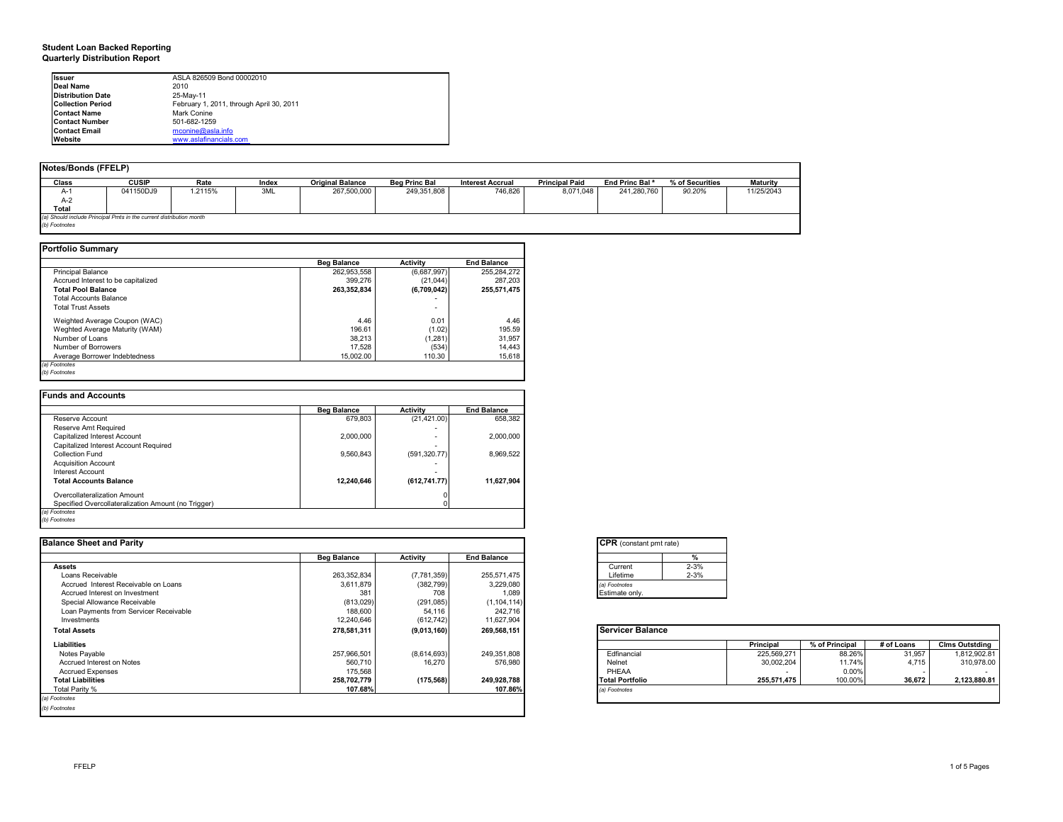### **Student Loan Backed Reporting Quarterly Distribution Report**

| <b>Issuer</b>            | ASLA 826509 Bond 00002010                |
|--------------------------|------------------------------------------|
| Deal Name                | 2010                                     |
| <b>Distribution Date</b> | 25-May-11                                |
| <b>Collection Period</b> | February 1, 2011, through April 30, 2011 |
| <b>Contact Name</b>      | Mark Conine                              |
| <b>Contact Number</b>    | 501-682-1259                             |
| <b>Contact Email</b>     | mconine@asla.info                        |
| Website                  | www.aslafinancials.com                   |

| Notes/Bonds (FFELP)                                                 |              |         |       |                         |                      |                         |                       |                            |                 |                 |
|---------------------------------------------------------------------|--------------|---------|-------|-------------------------|----------------------|-------------------------|-----------------------|----------------------------|-----------------|-----------------|
| Class                                                               | <b>CUSIP</b> | Rate    | Index | <b>Original Balance</b> | <b>Beg Princ Bal</b> | <b>Interest Accrual</b> | <b>Principal Paid</b> | End Princ Bal <sup>a</sup> | % of Securities | <b>Maturity</b> |
| $A-$                                                                | 041150DJ9    | 1.2115% | 3ML   | 267,500,000             | 249,351,808          | 746.826                 | 8.071.048             | 241.280.760                | 90.20%          | 11/25/2043      |
| $A-2$                                                               |              |         |       |                         |                      |                         |                       |                            |                 |                 |
| Total                                                               |              |         |       |                         |                      |                         |                       |                            |                 |                 |
| (a) Should include Principal Pmts in the current distribution month |              |         |       |                         |                      |                         |                       |                            |                 |                 |
| (b) Footnotes                                                       |              |         |       |                         |                      |                         |                       |                            |                 |                 |

|                                    | <b>Beg Balance</b> | <b>Activity</b> | <b>End Balance</b> |
|------------------------------------|--------------------|-----------------|--------------------|
| <b>Principal Balance</b>           | 262,953,558        | (6,687,997)     | 255.284.272        |
| Accrued Interest to be capitalized | 399,276            | (21, 044)       | 287.203            |
| <b>Total Pool Balance</b>          | 263.352.834        | (6,709,042)     | 255,571,475        |
| <b>Total Accounts Balance</b>      |                    |                 |                    |
| <b>Total Trust Assets</b>          |                    | ۰               |                    |
| Weighted Average Coupon (WAC)      | 4.46               | 0.01            | 4.46               |
| Weghted Average Maturity (WAM)     | 196.61             | (1.02)          | 195.59             |
| Number of Loans                    | 38.213             | (1,281)         | 31.957             |
| Number of Borrowers                | 17,528             | (534)           | 14.443             |
| Average Borrower Indebtedness      | 15.002.00          | 110.30          | 15.618             |

|                                                     | <b>Beg Balance</b> | <b>Activity</b> | <b>End Balance</b> |
|-----------------------------------------------------|--------------------|-----------------|--------------------|
| Reserve Account                                     | 679.803            | (21, 421.00)    | 658.382            |
| Reserve Amt Required                                |                    |                 |                    |
| Capitalized Interest Account                        | 2.000.000          |                 | 2.000.000          |
| Capitalized Interest Account Required               |                    |                 |                    |
| Collection Fund                                     | 9.560.843          | (591, 320.77)   | 8.969.522          |
| <b>Acquisition Account</b>                          |                    |                 |                    |
| Interest Account                                    |                    |                 |                    |
| <b>Total Accounts Balance</b>                       | 12.240.646         | (612, 741.77)   | 11.627.904         |
| Overcollateralization Amount                        |                    |                 |                    |
| Specified Overcollateralization Amount (no Trigger) |                    |                 |                    |

| <b>Balance Sheet and Parity</b>        |                    |             |                    | <b>CPR</b> (constant pmt rate) |          |             |                |            |                       |
|----------------------------------------|--------------------|-------------|--------------------|--------------------------------|----------|-------------|----------------|------------|-----------------------|
|                                        | <b>Beg Balance</b> | Activity    | <b>End Balance</b> |                                |          |             |                |            |                       |
| <b>Assets</b>                          |                    |             |                    | Current                        | $2 - 3%$ |             |                |            |                       |
| Loans Receivable                       | 263,352,834        | (7,781,359) | 255,571,475        | Lifetime                       | $2 - 3%$ |             |                |            |                       |
| Accrued Interest Receivable on Loans   | 3,611,879          | (382, 799)  | 3,229,080          | (a) Footnotes                  |          |             |                |            |                       |
| Accrued Interest on Investment         | 381                | 708         | 1,089              | Estimate only.                 |          |             |                |            |                       |
| Special Allowance Receivable           | (813, 029)         | (291, 085)  | (1, 104, 114)      |                                |          |             |                |            |                       |
| Loan Payments from Servicer Receivable | 188,600            | 54,116      | 242,716            |                                |          |             |                |            |                       |
| Investments                            | 12,240,646         | (612, 742)  | 11,627,904         |                                |          |             |                |            |                       |
| <b>Total Assets</b>                    | 278,581,311        | (9,013,160) | 269,568,151        | <b>Servicer Balance</b>        |          |             |                |            |                       |
| Liabilities                            |                    |             |                    |                                |          | Principal   | % of Principal | # of Loans | <b>Clms Outstding</b> |
| Notes Payable                          | 257,966,501        | (8,614,693) | 249,351,808        | Edfinancial                    |          | 225,569,271 | 88.26%         | 31,957     | 1,812,902.81          |
| Accrued Interest on Notes              | 560,710            | 16.270      | 576,980            | Nelnet                         |          | 30,002,204  | 11.74%         | 4.715      | 310,978.00            |
| <b>Accrued Expenses</b>                | 175,568            |             |                    | PHEAA                          |          |             | 0.00%          |            |                       |
| <b>Total Liabilities</b>               | 258,702,779        | (175, 568)  | 249,928,788        | <b>Total Portfolio</b>         |          | 255,571,475 | 100.00%        | 36,672     | 2,123,880.81          |
| Total Parity %                         | 107.68%            |             | 107.86%            | (a) Footnotes                  |          |             |                |            |                       |
| (a) Footnotes                          |                    |             |                    |                                |          |             |                |            |                       |
| (b) Footnotes                          |                    |             |                    |                                |          |             |                |            |                       |
|                                        |                    |             |                    |                                |          |             |                |            |                       |

|          | %        |
|----------|----------|
| Current  | $2 - 3%$ |
| Lifetime | $2 - 3%$ |

|                        | <b>Principal</b> | % of Principal | # of Loans | <b>Cims Outstding</b> |
|------------------------|------------------|----------------|------------|-----------------------|
| Edfinancial            | 225.569.271      | 88.26%         | 31.957     | 1.812.902.81          |
| Nelnet                 | 30.002.204       | 11.74%         | 4.715      | 310.978.00            |
| PHEAA                  | -                | 0.00%          |            | -                     |
| <b>Total Portfolio</b> | 255.571.475      | 100.00%        | 36.672     | 2.123.880.81          |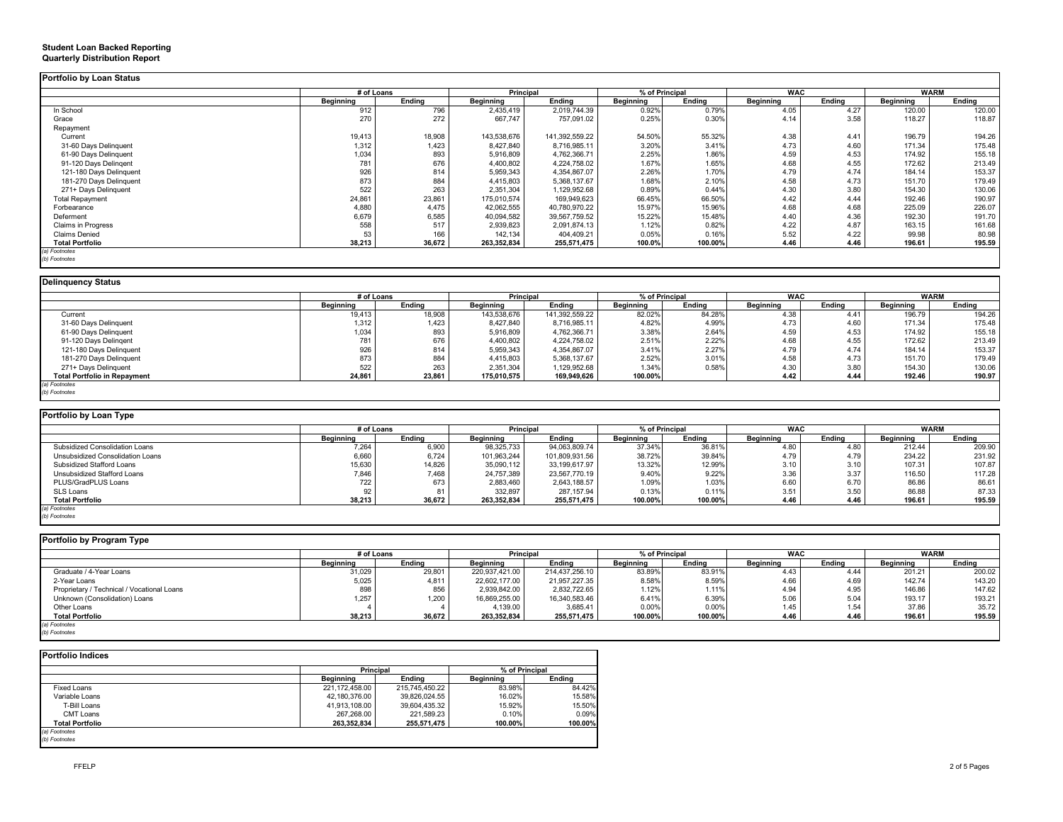|                           | # of Loans |        | Principal   |                | % of Principal |         | <b>WAC</b> |        | <b>WARM</b>      |        |
|---------------------------|------------|--------|-------------|----------------|----------------|---------|------------|--------|------------------|--------|
|                           | Beginning  | Endina | Beginning   | Endina         | Beginning      | Ending  | Beginning  | Endina | <b>Beginning</b> | Ending |
| In School                 | 912        | 796    | 2,435,419   | 2,019,744.39   | 0.92%          | 0.79%   | 4.05       | 4.27   | 120.00           | 120.00 |
| Grace                     | 270        | 272    | 667,747     | 757,091.02     | 0.25%          | 0.30%   | 4.14       | 3.58   | 118.27           | 118.87 |
| Repayment                 |            |        |             |                |                |         |            |        |                  |        |
| Current                   | 19,413     | 18,908 | 143,538,676 | 141,392,559.22 | 54.50%         | 55.32%  | 4.38       | 4.41   | 196.79           | 194.26 |
| 31-60 Days Delinquent     | 1,312      | 1,423  | 8,427,840   | 8,716,985.11   | 3.20%          | 3.41%   | 4.73       | 4.60   | 171.34           | 175.48 |
| 61-90 Days Delinquent     | 1,034      | 893    | 5,916,809   | 4,762,366.71   | 2.25%          | 1.86%   | 4.59       | 4.53   | 174.92           | 155.18 |
| 91-120 Days Delingent     | 781        | 676    | 4,400,802   | 4,224,758.02   | 1.67%          | 1.65%   | 4.68       | 4.55   | 172.62           | 213.49 |
| 121-180 Days Delinquent   | 926        | 814    | 5,959,343   | 4,354,867.07   | 2.26%          | 1.70%   | 4.79       | 4.74   | 184.14           | 153.37 |
| 181-270 Days Delinquent   | 873        | 884    | 4,415,803   | 5,368,137.67   | 1.68%          | 2.10%   | 4.58       | 4.73   | 151.70           | 179.49 |
| 271+ Days Delinguent      | 522        | 263    | 2,351,304   | 1,129,952.68   | 0.89%          | 0.44%   | 4.30       | 3.80   | 154.30           | 130.06 |
| <b>Total Repayment</b>    | 24,861     | 23,861 | 175,010,574 | 169,949,623    | 66.45%         | 66.50%  | 4.42       | 4.44   | 192.46           | 190.97 |
| Forbearance               | 4.880      | 4.475  | 42,062,555  | 40,780,970.22  | 15.97%         | 15.96%  | 4.68       | 4.68   | 225.09           | 226.07 |
| Deferment                 | 6,679      | 6,585  | 40,094,582  | 39,567,759.52  | 15.22%         | 15.48%  | 4.40       | 4.36   | 192.30           | 191.70 |
| <b>Claims in Progress</b> | 558        | 517    | 2,939,823   | 2,091,874.13   | 1.12%          | 0.82%   | 4.22       | 4.87   | 163.15           | 161.68 |
| <b>Claims Denied</b>      | 53         | 166    | 142,134     | 404,409.21     | 0.05%          | 0.16%   | 5.52       | 4.22   | 99.98            | 80.98  |
| <b>Total Portfolio</b>    | 38,213     | 36,672 | 263,352,834 | 255,571,475    | 100.0%         | 100.00% | 4.46       | 4.46   | 196.61           | 195.59 |

### **Delinquency Status**

|                                     | # of Loans |        | Principal   |                | % of Principal   |        | <b>WAC</b> |        | <b>WARM</b>      |        |
|-------------------------------------|------------|--------|-------------|----------------|------------------|--------|------------|--------|------------------|--------|
|                                     | Beginning  | Endina | Beainnina   | Endina         | <b>Beainning</b> | Endina | Beginning  | Endina | <b>Beainning</b> | Ending |
| Current                             | 19,413     | 18,908 | 143,538,676 | 141,392,559.22 | 82.02%           | 84.28% | 4.38       | 4.41   | 196.79           | 194.26 |
| 31-60 Days Delinquent               | 1,312      | 1,423  | 8,427,840   | 8,716,985.11   | 4.82%            | 4.99%  | 4.73       | 4.60   | 171.34           | 175.48 |
| 61-90 Days Delinquent               | 1,034      | 893    | 5,916,809   | 4,762,366.71   | 3.38%            | 2.64%  | 4.59       | 4.53   | 174.92           | 155.18 |
| 91-120 Days Delingent               | 781        | 676    | 4,400,802   | 4,224,758.02   | 2.51%            | 2.22%  | 4.68       | 4.55   | 172.62           | 213.49 |
| 121-180 Days Delinguent             | 926        | 814    | 5,959,343   | 4,354,867.07   | 3.41%            | 2.27%  | 4.79       | 4.74   | 184.14           | 153.37 |
| 181-270 Days Delinquent             | 873        | 884    | 4,415,803   | 5,368,137.67   | 2.52%            | 3.01%  | 4.58       | 4.73   | 151.70           | 179.49 |
| 271+ Days Delinquent                | 522        | 263    | 2,351,304   | 1,129,952.68   | 1.34%            | 0.58%  | 4.30       | 3.80   | 154.30           | 130.06 |
| <b>Total Portfolio in Repayment</b> | 24,861     | 23,861 | 175,010,575 | 169,949,626    | 100.00%          |        | 4.42       | 4.44   | 192.46           | 190.97 |
| (a) Footnotes                       |            |        |             |                |                  |        |            |        |                  |        |
| (b) Footnotes                       |            |        |             |                |                  |        |            |        |                  |        |

| Portfolio by Loan Type           |           |            |             |                  |                  |         |                  |        |                  |             |
|----------------------------------|-----------|------------|-------------|------------------|------------------|---------|------------------|--------|------------------|-------------|
|                                  |           | # of Loans |             | <b>Principal</b> | % of Principal   |         | <b>WAC</b>       |        |                  | <b>WARM</b> |
|                                  | Beginning | Endina     | Beainnina   | Endina           | <b>Beainning</b> | Endina  | <b>Beainning</b> | Endina | <b>Beainning</b> | Endina      |
| Subsidized Consolidation Loans   | 7.264     | 6,900      | 98,325,733  | 94,063,809.74    | 37.34%           | 36.81%  | 4.80             | 4.80   | 212.44           | 209.90      |
| Unsubsidized Consolidation Loans | 6,660     | 6,724      | 101,963,244 | 101,809,931.56   | 38.72%           | 39.84%  | 4.79             | 4.79   | 234.22           | 231.92      |
| Subsidized Stafford Loans        | 15,630    | 14,826     | 35,090,112  | 33,199,617.97    | 13.32%           | 12.99%  | 3.10             | 3.10   | 107.31           | 107.87      |
| Unsubsidized Stafford Loans      | 7,846     | 7,468      | 24,757,389  | 23,567,770.19    | 9.40%            | 9.22%   | 3.36             | 3.37   | 116.50           | 117.28      |
| PLUS/GradPLUS Loans              | 722       | 673        | 2,883,460   | 2,643,188.57     | 1.09%            | 1.03%   | 6.60             | 6.70   | 86.86            | 86.61       |
| SLS Loans                        | 92        | 81         | 332,897     | 287.157.94       | 0.13%            | 0.11%   | 3.51             | 3.50   | 86.88            | 87.33       |
| <b>Total Portfolio</b>           | 38,213    | 36,672     | 263,352,834 | 255,571,475      | 100.00%          | 100.00% | 4.46             | 4.46   | 196.61           | 195.59      |
| (a) Footnotes                    |           |            |             |                  |                  |         |                  |        |                  |             |
| (b) Footnotes                    |           |            |             |                  |                  |         |                  |        |                  |             |

| Portfolio by Program Type                  |            |        |                |                |                  |         |                  |        |                  |             |
|--------------------------------------------|------------|--------|----------------|----------------|------------------|---------|------------------|--------|------------------|-------------|
|                                            | # of Loans |        | Principal      |                | % of Principal   |         | <b>WAC</b>       |        |                  | <b>WARM</b> |
|                                            | Beainnina  | Endina | Beainnina      | Endina         | <b>Beginning</b> | Endina  | <b>Beainning</b> | Endina | <b>Beginning</b> | Endina      |
| Graduate / 4-Year Loans                    | 31,029     | 29,801 | 220,937,421.00 | 214,437,256.10 | 83.89%           | 83.91%  | 4.43             | 4.44   | 201.21           | 200.02      |
| 2-Year Loans                               | 5,025      | 4,811  | 22.602.177.00  | 21,957,227.35  | 8.58%            | 8.59%   | 4.66             | 4.69   | 142.74           | 143.20      |
| Proprietary / Technical / Vocational Loans | 898        | 856    | 2,939,842.00   | 2,832,722.65   | 1.12%            | 1.11%   | 4.94             | 4.95   | 146.86           | 147.62      |
| Unknown (Consolidation) Loans              | 1,257      | .200   | 16,869,255.00  | 16,340,583.46  | 6.41%            | 6.39%   | 5.06             | 5.04   | 193.17           | 193.21      |
| Other Loans                                |            |        | 4,139.00       | 3,685.41       | 0.00%            | 0.00%   | 1.45             | 1.54   | 37.86            | 35.72       |
| <b>Total Portfolio</b>                     | 38,213     | 36,672 | 263.352.834    | 255,571,475    | 100.00%          | 100.00% | 4.46             | 4.46   | 196.61           | 195.59      |
| (a) Footnotes                              |            |        |                |                |                  |         |                  |        |                  |             |
| (b) Footnotes                              |            |        |                |                |                  |         |                  |        |                  |             |

|                        | Principal        |                | % of Principal   |         |
|------------------------|------------------|----------------|------------------|---------|
|                        | <b>Beainning</b> | Endina         | <b>Beainning</b> | Endina  |
| <b>Fixed Loans</b>     | 221.172.458.00   | 215,745,450.22 | 83.98%           | 84.42%  |
| Variable Loans         | 42.180.376.00    | 39.826.024.55  | 16.02%           | 15.58%  |
| T-Bill Loans           | 41.913.108.00    | 39.604.435.32  | 15.92%           | 15.50%  |
| CMT Loans              | 267.268.00       | 221.589.23     | 0.10%            | 0.09%   |
| <b>Total Portfolio</b> | 263,352,834      | 255,571,475    | 100.00%          | 100.00% |

#### **Student Loan Backed Reporting Quarterly Distribution Report**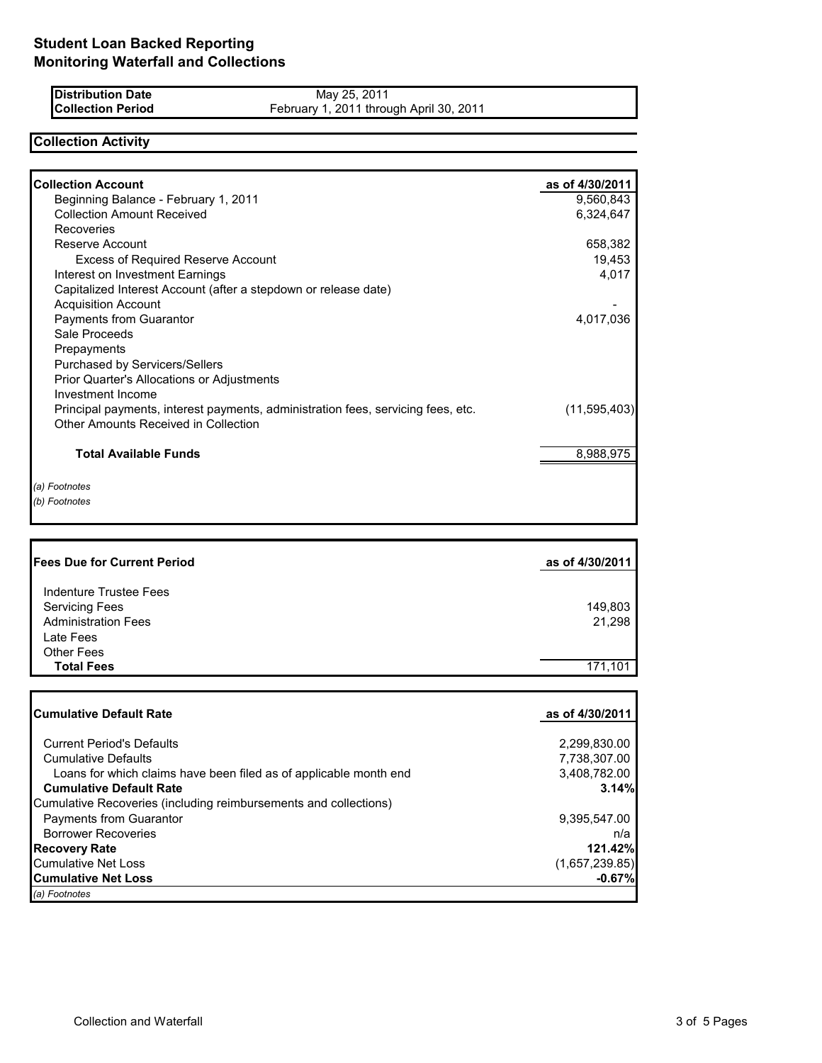| <b>Distribution Date</b> | May 25, 2011                            |
|--------------------------|-----------------------------------------|
| <b>Collection Period</b> | February 1, 2011 through April 30, 2011 |

# **Collection Activity**

| <b>Collection Account</b>                                                        | as of 4/30/2011 |
|----------------------------------------------------------------------------------|-----------------|
| Beginning Balance - February 1, 2011                                             | 9,560,843       |
| <b>Collection Amount Received</b>                                                | 6,324,647       |
| Recoveries                                                                       |                 |
| Reserve Account                                                                  | 658,382         |
| <b>Excess of Required Reserve Account</b>                                        | 19,453          |
| Interest on Investment Earnings                                                  | 4,017           |
| Capitalized Interest Account (after a stepdown or release date)                  |                 |
| <b>Acquisition Account</b>                                                       |                 |
| Payments from Guarantor                                                          | 4,017,036       |
| Sale Proceeds                                                                    |                 |
| Prepayments                                                                      |                 |
| Purchased by Servicers/Sellers                                                   |                 |
| <b>Prior Quarter's Allocations or Adjustments</b>                                |                 |
| Investment Income                                                                |                 |
| Principal payments, interest payments, administration fees, servicing fees, etc. | (11,595,403)    |
| Other Amounts Received in Collection                                             |                 |
| <b>Total Available Funds</b>                                                     | 8,988,975       |
|                                                                                  |                 |
| (a) Footnotes                                                                    |                 |
| (b) Footnotes                                                                    |                 |

| <b>Fees Due for Current Period</b>              | as of 4/30/2011 |
|-------------------------------------------------|-----------------|
| Indenture Trustee Fees<br><b>Servicing Fees</b> | 149,803         |
| <b>Administration Fees</b>                      | 21,298          |
| Late Fees<br><b>Other Fees</b>                  |                 |
| <b>Total Fees</b>                               | 171.101         |

| <b>Cumulative Default Rate</b>                                    | as of 4/30/2011 |
|-------------------------------------------------------------------|-----------------|
|                                                                   |                 |
| <b>Current Period's Defaults</b>                                  | 2,299,830.00    |
| <b>Cumulative Defaults</b>                                        | 7,738,307.00    |
| Loans for which claims have been filed as of applicable month end | 3,408,782.00    |
| <b>Cumulative Default Rate</b>                                    | 3.14%           |
| Cumulative Recoveries (including reimbursements and collections)  |                 |
| Payments from Guarantor                                           | 9,395,547.00    |
| <b>Borrower Recoveries</b>                                        | n/a             |
| <b>Recovery Rate</b>                                              | 121.42%         |
| <b>Cumulative Net Loss</b>                                        | (1,657,239.85)  |
| <b>Cumulative Net Loss</b>                                        | $-0.67%$        |
| (a) Footnotes                                                     |                 |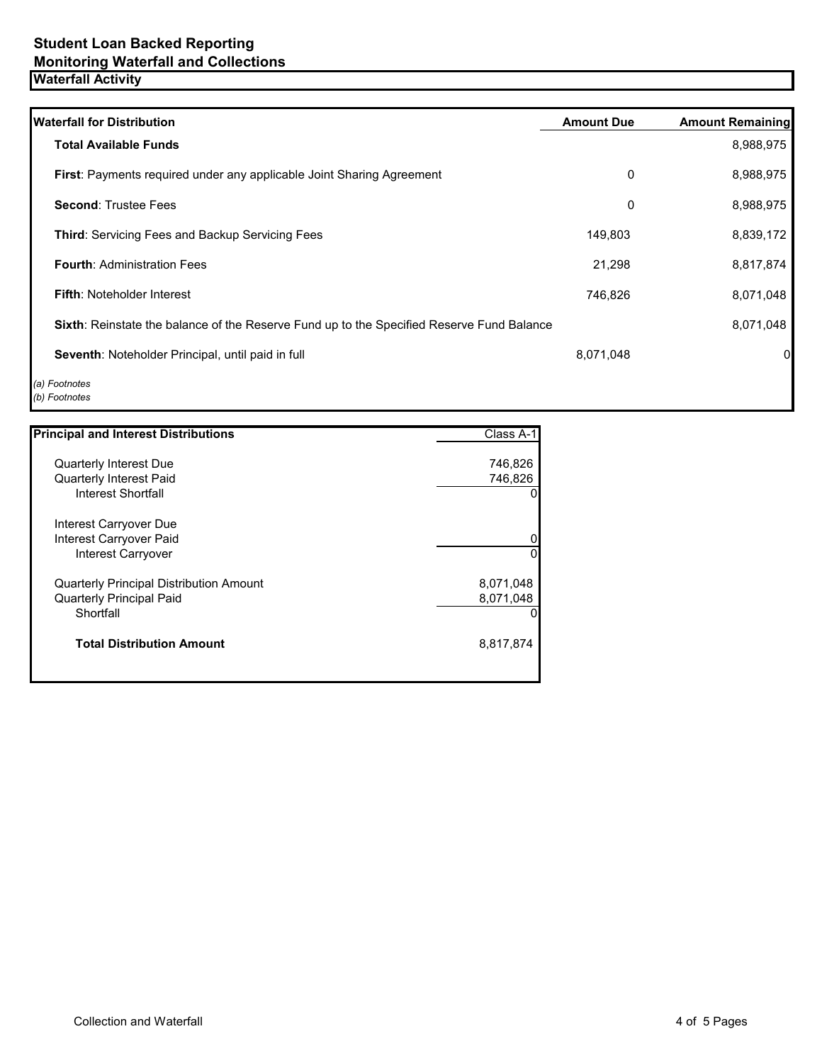| <b>Waterfall for Distribution</b>                                                                | <b>Amount Due</b> | <b>Amount Remaining</b> |
|--------------------------------------------------------------------------------------------------|-------------------|-------------------------|
| <b>Total Available Funds</b>                                                                     |                   | 8,988,975               |
| First: Payments required under any applicable Joint Sharing Agreement                            | 0                 | 8,988,975               |
| <b>Second: Trustee Fees</b>                                                                      | 0                 | 8,988,975               |
| <b>Third: Servicing Fees and Backup Servicing Fees</b>                                           | 149,803           | 8,839,172               |
| <b>Fourth: Administration Fees</b>                                                               | 21,298            | 8,817,874               |
| <b>Fifth: Noteholder Interest</b>                                                                | 746,826           | 8,071,048               |
| <b>Sixth:</b> Reinstate the balance of the Reserve Fund up to the Specified Reserve Fund Balance |                   | 8,071,048               |
| Seventh: Noteholder Principal, until paid in full                                                | 8,071,048         | 0                       |
| (a) Footnotes<br>(b) Footnotes                                                                   |                   |                         |

| <b>Principal and Interest Distributions</b>    | Class A-1 |
|------------------------------------------------|-----------|
| <b>Quarterly Interest Due</b>                  | 746,826   |
| <b>Quarterly Interest Paid</b>                 | 746,826   |
| Interest Shortfall                             |           |
| Interest Carryover Due                         |           |
| Interest Carryover Paid                        |           |
| <b>Interest Carryover</b>                      | 0         |
| <b>Quarterly Principal Distribution Amount</b> | 8,071,048 |
| <b>Quarterly Principal Paid</b>                | 8,071,048 |
| Shortfall                                      |           |
| <b>Total Distribution Amount</b>               | 8,817,874 |
|                                                |           |